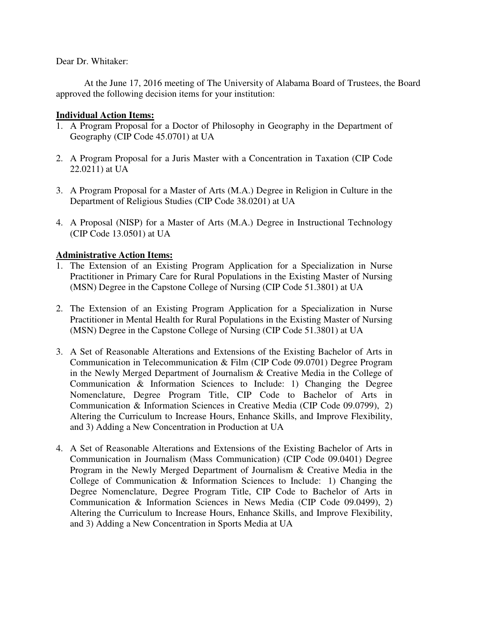Dear Dr. Whitaker:

At the June 17, 2016 meeting of The University of Alabama Board of Trustees, the Board approved the following decision items for your institution:

## **Individual Action Items:**

- 1. A Program Proposal for a Doctor of Philosophy in Geography in the Department of Geography (CIP Code 45.0701) at UA
- 2. A Program Proposal for a Juris Master with a Concentration in Taxation (CIP Code 22.0211) at UA
- 3. A Program Proposal for a Master of Arts (M.A.) Degree in Religion in Culture in the Department of Religious Studies (CIP Code 38.0201) at UA
- 4. A Proposal (NISP) for a Master of Arts (M.A.) Degree in Instructional Technology (CIP Code 13.0501) at UA

## **Administrative Action Items:**

- 1. The Extension of an Existing Program Application for a Specialization in Nurse Practitioner in Primary Care for Rural Populations in the Existing Master of Nursing (MSN) Degree in the Capstone College of Nursing (CIP Code 51.3801) at UA
- 2. The Extension of an Existing Program Application for a Specialization in Nurse Practitioner in Mental Health for Rural Populations in the Existing Master of Nursing (MSN) Degree in the Capstone College of Nursing (CIP Code 51.3801) at UA
- 3. A Set of Reasonable Alterations and Extensions of the Existing Bachelor of Arts in Communication in Telecommunication & Film (CIP Code 09.0701) Degree Program in the Newly Merged Department of Journalism & Creative Media in the College of Communication & Information Sciences to Include: 1) Changing the Degree Nomenclature, Degree Program Title, CIP Code to Bachelor of Arts in Communication & Information Sciences in Creative Media (CIP Code 09.0799), 2) Altering the Curriculum to Increase Hours, Enhance Skills, and Improve Flexibility, and 3) Adding a New Concentration in Production at UA
- 4. A Set of Reasonable Alterations and Extensions of the Existing Bachelor of Arts in Communication in Journalism (Mass Communication) (CIP Code 09.0401) Degree Program in the Newly Merged Department of Journalism & Creative Media in the College of Communication & Information Sciences to Include: 1) Changing the Degree Nomenclature, Degree Program Title, CIP Code to Bachelor of Arts in Communication & Information Sciences in News Media (CIP Code 09.0499), 2) Altering the Curriculum to Increase Hours, Enhance Skills, and Improve Flexibility, and 3) Adding a New Concentration in Sports Media at UA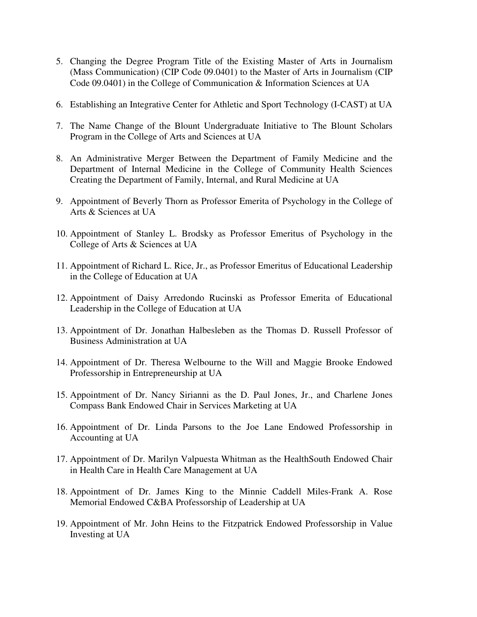- 5. Changing the Degree Program Title of the Existing Master of Arts in Journalism (Mass Communication) (CIP Code 09.0401) to the Master of Arts in Journalism (CIP Code 09.0401) in the College of Communication & Information Sciences at UA
- 6. Establishing an Integrative Center for Athletic and Sport Technology (I-CAST) at UA
- 7. The Name Change of the Blount Undergraduate Initiative to The Blount Scholars Program in the College of Arts and Sciences at UA
- 8. An Administrative Merger Between the Department of Family Medicine and the Department of Internal Medicine in the College of Community Health Sciences Creating the Department of Family, Internal, and Rural Medicine at UA
- 9. Appointment of Beverly Thorn as Professor Emerita of Psychology in the College of Arts & Sciences at UA
- 10. Appointment of Stanley L. Brodsky as Professor Emeritus of Psychology in the College of Arts & Sciences at UA
- 11. Appointment of Richard L. Rice, Jr., as Professor Emeritus of Educational Leadership in the College of Education at UA
- 12. Appointment of Daisy Arredondo Rucinski as Professor Emerita of Educational Leadership in the College of Education at UA
- 13. Appointment of Dr. Jonathan Halbesleben as the Thomas D. Russell Professor of Business Administration at UA
- 14. Appointment of Dr. Theresa Welbourne to the Will and Maggie Brooke Endowed Professorship in Entrepreneurship at UA
- 15. Appointment of Dr. Nancy Sirianni as the D. Paul Jones, Jr., and Charlene Jones Compass Bank Endowed Chair in Services Marketing at UA
- 16. Appointment of Dr. Linda Parsons to the Joe Lane Endowed Professorship in Accounting at UA
- 17. Appointment of Dr. Marilyn Valpuesta Whitman as the HealthSouth Endowed Chair in Health Care in Health Care Management at UA
- 18. Appointment of Dr. James King to the Minnie Caddell Miles-Frank A. Rose Memorial Endowed C&BA Professorship of Leadership at UA
- 19. Appointment of Mr. John Heins to the Fitzpatrick Endowed Professorship in Value Investing at UA